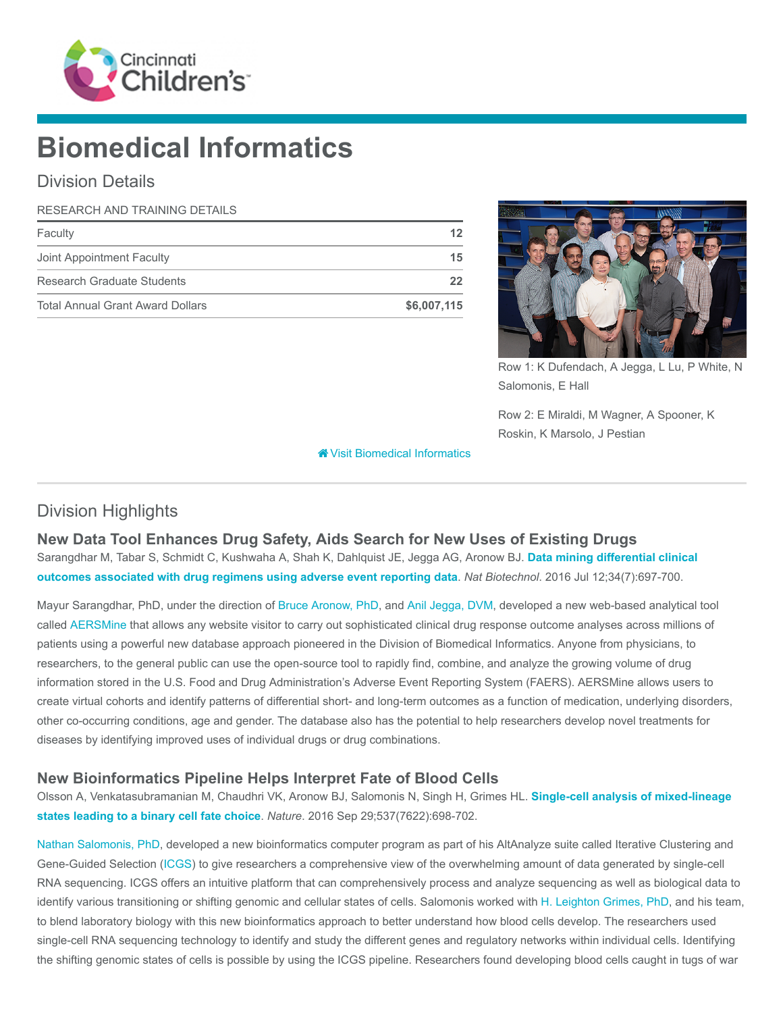

# Biomedical Informatics

### Division Details

#### RESEARCH AND TRAINING DETAILS

| Faculty                                 |             |
|-----------------------------------------|-------------|
| Joint Appointment Faculty               | 15          |
| Research Graduate Students              | 22          |
| <b>Total Annual Grant Award Dollars</b> | \$6,007,115 |



Row 1: K Dufendach, A Jegga, L Lu, P White, N Salomonis, E Hall

Row 2: E Miraldi, M Wagner, A Spooner, K Roskin, K Marsolo, J Pestian

[Visit Biomedical Informatics](https://www.cincinnatichildrens.org/research/divisions/b/bmi)

## Division Highlights

#### New Data Tool Enhances Drug Safety, Aids Search for New Uses of Existing Drugs

[Sarangdhar M, Tabar S, Schmidt C, Kushwaha A, Shah K, Dahlquist JE, Jegga AG, Aronow BJ.](https://www.ncbi.nlm.nih.gov/pubmed/27404875) Data mining differential clinical outcomes associated with drug regimens using adverse event reporting data. Nat Biotechnol. 2016 Jul 12;34(7):697-700.

Mayur Sarangdhar, PhD, under the direction of [Bruce Aronow, PhD](https://www.cincinnatichildrens.org/bio/a/bruce-aronow), and [Anil Jegga, DVM,](https://www.cincinnatichildrens.org/bio/j/anil-jegga) developed a new web-based analytical tool called [AERSMine](https://research.cchmc.org/aers/) that allows any website visitor to carry out sophisticated clinical drug response outcome analyses across millions of patients using a powerful new database approach pioneered in the Division of Biomedical Informatics. Anyone from physicians, to researchers, to the general public can use the open-source tool to rapidly find, combine, and analyze the growing volume of drug information stored in the U.S. Food and Drug Administration's Adverse Event Reporting System (FAERS). AERSMine allows users to create virtual cohorts and identify patterns of differential short- and long-term outcomes as a function of medication, underlying disorders, other co-occurring conditions, age and gender. The database also has the potential to help researchers develop novel treatments for diseases by identifying improved uses of individual drugs or drug combinations.

#### New Bioinformatics Pipeline Helps Interpret Fate of Blood Cells

[Olsson A, Venkatasubramanian M, Chaudhri VK, Aronow BJ, Salomonis N, Singh H, Grimes HL.](https://www.ncbi.nlm.nih.gov/pubmed/27580035) Single-cell analysis of mixed-lineage states leading to a binary cell fate choice. Nature. 2016 Sep 29;537(7622):698-702.

[Nathan Salomonis, PhD](https://www.cincinnatichildrens.org/bio/s/nathan-salomonis), developed a new bioinformatics computer program as part of his AltAnalyze suite called Iterative Clustering and Gene-Guided Selection ([ICGS](http://auth.sc.cincinnatichildrens.org/[http://www.altanalyze.org/ICGS.html)) to give researchers a comprehensive view of the overwhelming amount of data generated by single-cell RNA sequencing. ICGS offers an intuitive platform that can comprehensively process and analyze sequencing as well as biological data to identify various transitioning or shifting genomic and cellular states of cells. Salomonis worked with [H. Leighton Grimes, PhD](https://www.cincinnatichildrens.org/bio/g/lee-grimes), and his team, to blend laboratory biology with this new bioinformatics approach to better understand how blood cells develop. The researchers used single-cell RNA sequencing technology to identify and study the different genes and regulatory networks within individual cells. Identifying the shifting genomic states of cells is possible by using the ICGS pipeline. Researchers found developing blood cells caught in tugs of war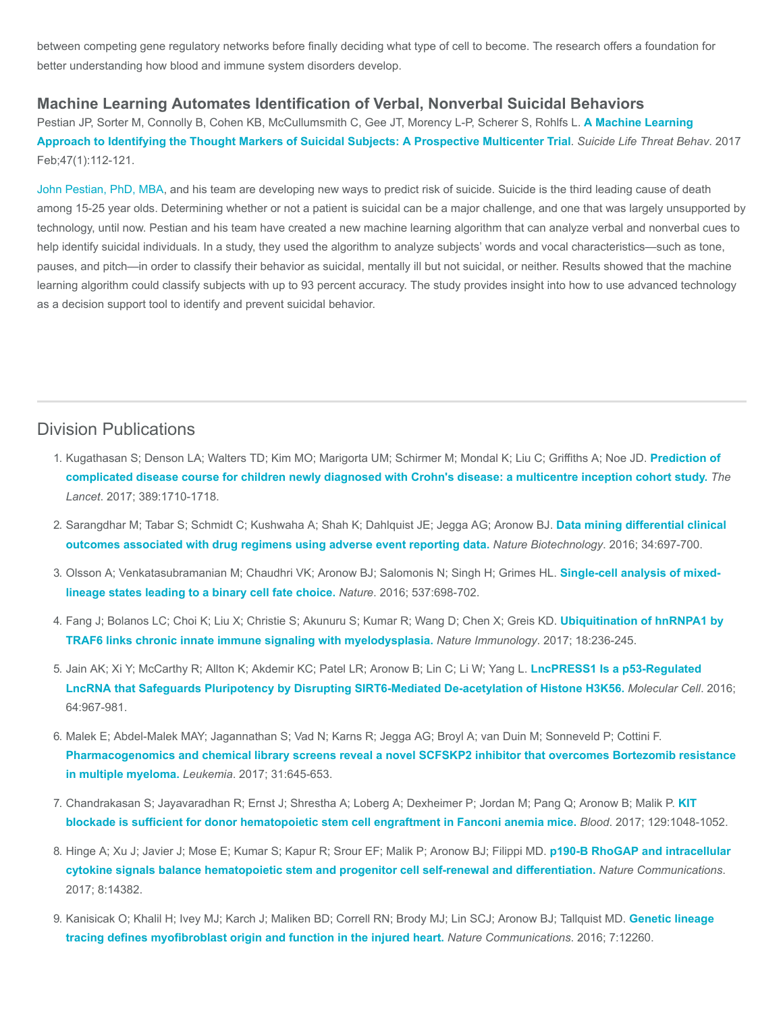between competing gene regulatory networks before finally deciding what type of cell to become. The research offers a foundation for better understanding how blood and immune system disorders develop.

#### Machine Learning Automates Identification of Verbal, Nonverbal Suicidal Behaviors

[Pestian JP, Sorter M, Connolly B, Cohen KB, McCullumsmith C, Gee JT, Morency L-P, Scherer S, Rohlfs L.](https://www.ncbi.nlm.nih.gov/pubmed/27813129) A Machine Learning Approach to Identifying the Thought Markers of Suicidal Subjects: A Prospective Multicenter Trial. Suicide Life Threat Behav. 2017 Feb;47(1):112-121.

[John Pestian, PhD, MBA,](https://www.cincinnatichildrens.org/bio/p/john-pestian) and his team are developing new ways to predict risk of suicide. Suicide is the third leading cause of death among 15-25 year olds. Determining whether or not a patient is suicidal can be a major challenge, and one that was largely unsupported by technology, until now. Pestian and his team have created a new machine learning algorithm that can analyze verbal and nonverbal cues to help identify suicidal individuals. In a study, they used the algorithm to analyze subjects' words and vocal characteristics—such as tone, pauses, and pitch—in order to classify their behavior as suicidal, mentally ill but not suicidal, or neither. Results showed that the machine learning algorithm could classify subjects with up to 93 percent accuracy. The study provides insight into how to use advanced technology as a decision support tool to identify and prevent suicidal behavior.

#### Division Publications

- 1. [Kugathasan S; Denson LA; Walters TD; Kim MO; Marigorta UM; Schirmer M; Mondal K; Liu C; Griffiths A; Noe JD.](https://www.ncbi.nlm.nih.gov/pubmed/28259484) Prediction of complicated disease course for children newly diagnosed with Crohn's disease: a multicentre inception cohort study. The Lancet. 2017; 389:1710-1718.
- 2. [Sarangdhar M; Tabar S; Schmidt C; Kushwaha A; Shah K; Dahlquist JE; Jegga AG; Aronow BJ.](https://www.ncbi.nlm.nih.gov/pubmed/27404875) Data mining differential clinical outcomes associated with drug regimens using adverse event reporting data. Nature Biotechnology. 2016; 34:697-700.
- 3. [Olsson A; Venkatasubramanian M; Chaudhri VK; Aronow BJ; Salomonis N; Singh H; Grimes HL.](https://www.ncbi.nlm.nih.gov/pubmed/27580035) Single-cell analysis of mixedlineage states leading to a binary cell fate choice. Nature. 2016; 537:698-702.
- 4. [Fang J; Bolanos LC; Choi K; Liu X; Christie S; Akunuru S; Kumar R; Wang D; Chen X; Greis KD.](https://www.ncbi.nlm.nih.gov/pubmed/28024152) Ubiquitination of hnRNPA1 by TRAF6 links chronic innate immune signaling with myelodysplasia. Nature Immunology. 2017; 18:236-245.
- 5. Jain AK; Xi Y; McCarthy R; Allton K; Akdemir KC; Patel LR; Aronow B; Lin C; Li W; Yang L. LncPRESS1 Is a p53-Regulated [LncRNA that Safeguards Pluripotency by Disrupting SIRT6-Mediated De-acetylation of Histone H3K56.](https://www.ncbi.nlm.nih.gov/pubmed/27912097) Molecular Cell. 2016; 64:967-981.
- 6. Malek E; Abdel-Malek MAY; Jagannathan S; Vad N; Karns R; Jegga AG; Broyl A; van Duin M; Sonneveld P; Cottini F. [Pharmacogenomics and chemical library screens reveal a novel SCFSKP2 inhibitor that overcomes Bortezomib resistance](https://www.ncbi.nlm.nih.gov/pubmed/27677741) in multiple myeloma. Leukemia. 2017; 31:645-653.
- 7. [Chandrakasan S; Jayavaradhan R; Ernst J; Shrestha A; Loberg A; Dexheimer P; Jordan M; Pang Q; Aronow B; Malik P.](https://www.ncbi.nlm.nih.gov/pubmed/27998889) KIT blockade is sufficient for donor hematopoietic stem cell engraftment in Fanconi anemia mice. Blood. 2017; 129:1048-1052.
- 8. [Hinge A; Xu J; Javier J; Mose E; Kumar S; Kapur R; Srour EF; Malik P; Aronow BJ; Filippi MD.](https://www.ncbi.nlm.nih.gov/pubmed/28176763) p190-B RhoGAP and intracellular cytokine signals balance hematopoietic stem and progenitor cell self-renewal and differentiation. Nature Communications. 2017; 8:14382.
- 9. [Kanisicak O; Khalil H; Ivey MJ; Karch J; Maliken BD; Correll RN; Brody MJ; Lin SCJ; Aronow BJ; Tallquist MD.](https://www.ncbi.nlm.nih.gov/pubmed/27447449) Genetic lineage tracing defines myofibroblast origin and function in the injured heart. Nature Communications. 2016; 7:12260.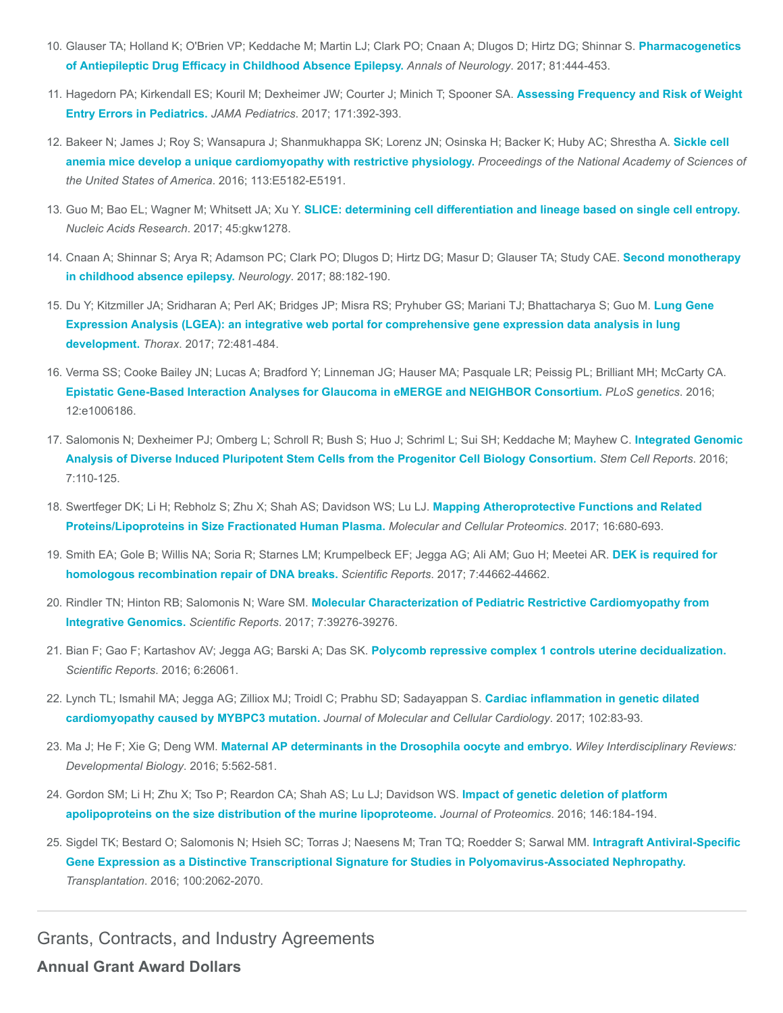- 10. [Glauser TA; Holland K; O'Brien VP; Keddache M; Martin LJ; Clark PO; Cnaan A; Dlugos D; Hirtz DG; Shinnar S.](https://www.ncbi.nlm.nih.gov/pubmed/28165634) Pharmacogenetics of Antiepileptic Drug Efficacy in Childhood Absence Epilepsy. Annals of Neurology. 2017; 81:444-453.
- 11. [Hagedorn PA; Kirkendall ES; Kouril M; Dexheimer JW; Courter J; Minich T; Spooner SA.](https://www.ncbi.nlm.nih.gov/pubmed/28152133) Assessing Frequency and Risk of Weight Entry Errors in Pediatrics. JAMA Pediatrics. 2017; 171:392-393.
- 12. [Bakeer N; James J; Roy S; Wansapura J; Shanmukhappa SK; Lorenz JN; Osinska H; Backer K; Huby AC; Shrestha A.](https://www.ncbi.nlm.nih.gov/pubmed/27503873) Sickle cell anemia mice develop a unique cardiomyopathy with restrictive physiology. Proceedings of the National Academy of Sciences of the United States of America. 2016; 113:E5182-E5191.
- 13. Guo M; Bao EL; Wagner M; Whitsett JA; Xu Y. [SLICE: determining cell differentiation and lineage based on single cell entropy.](https://www.ncbi.nlm.nih.gov/pubmed/27998929) Nucleic Acids Research. 2017; 45:gkw1278.
- 14. [Cnaan A; Shinnar S; Arya R; Adamson PC; Clark PO; Dlugos D; Hirtz DG; Masur D; Glauser TA; Study CAE.](https://www.ncbi.nlm.nih.gov/pubmed/27986874) Second monotherapy in childhood absence epilepsy. Neurology. 2017; 88:182-190.
- 15. [Du Y; Kitzmiller JA; Sridharan A; Perl AK; Bridges JP; Misra RS; Pryhuber GS; Mariani TJ; Bhattacharya S; Guo M.](https://www.ncbi.nlm.nih.gov/pubmed/28070014) Lung Gene Expression Analysis (LGEA): an integrative web portal for comprehensive gene expression data analysis in lung development. Thorax. 2017; 72:481-484.
- 16. Verma SS; Cooke Bailey JN; Lucas A; Bradford Y; Linneman JG; Hauser MA; Pasquale LR; Peissig PL; Brilliant MH; McCarty CA. [Epistatic Gene-Based Interaction Analyses for Glaucoma in eMERGE and NEIGHBOR Consortium.](https://www.ncbi.nlm.nih.gov/pubmed/27623284) PLoS genetics. 2016; 12:e1006186.
- 17. [Salomonis N; Dexheimer PJ; Omberg L; Schroll R; Bush S; Huo J; Schriml L; Sui SH; Keddache M; Mayhew C.](https://www.ncbi.nlm.nih.gov/pubmed/27293150) Integrated Genomic Analysis of Diverse Induced Pluripotent Stem Cells from the Progenitor Cell Biology Consortium. Stem Cell Reports. 2016; 7:110-125.
- 18. [Swertfeger DK; Li H; Rebholz S; Zhu X; Shah AS; Davidson WS; Lu LJ.](https://www.ncbi.nlm.nih.gov/pubmed/28223350) Mapping Atheroprotective Functions and Related Proteins/Lipoproteins in Size Fractionated Human Plasma. Molecular and Cellular Proteomics. 2017; 16:680-693.
- 19. [Smith EA; Gole B; Willis NA; Soria R; Starnes LM; Krumpelbeck EF; Jegga AG; Ali AM; Guo H; Meetei AR.](https://www.ncbi.nlm.nih.gov/pubmed/28317934) DEK is required for homologous recombination repair of DNA breaks. Scientific Reports. 2017; 7:44662-44662.
- 20. Rindler TN; Hinton RB; Salomonis N; Ware SM. [Molecular Characterization of Pediatric Restrictive Cardiomyopathy from](https://www.ncbi.nlm.nih.gov/pubmed/28098235) Integrative Genomics. Scientific Reports. 2017; 7:39276-39276.
- 21. Bian F; Gao F; Kartashov AV; Jegga AG; Barski A; Das SK. [Polycomb repressive complex 1 controls uterine decidualization.](https://www.ncbi.nlm.nih.gov/pubmed/27181215) Scientific Reports. 2016; 6:26061.
- 22. [Lynch TL; Ismahil MA; Jegga AG; Zilliox MJ; Troidl C; Prabhu SD; Sadayappan S.](https://www.ncbi.nlm.nih.gov/pubmed/27955979) Cardiac inflammation in genetic dilated cardiomyopathy caused by MYBPC3 mutation. Journal of Molecular and Cellular Cardiology. 2017; 102:83-93.
- 23. Ma J; He F; Xie G; Deng WM. [Maternal AP determinants in the Drosophila oocyte and embryo.](https://www.ncbi.nlm.nih.gov/pubmed/27253156) Wiley Interdisciplinary Reviews: Developmental Biology. 2016; 5:562-581.
- 24. [Gordon SM; Li H; Zhu X; Tso P; Reardon CA; Shah AS; Lu LJ; Davidson WS.](https://www.ncbi.nlm.nih.gov/pubmed/27385375) Impact of genetic deletion of platform apolipoproteins on the size distribution of the murine lipoproteome. Journal of Proteomics. 2016; 146:184-194.
- 25. Sigdel TK; Bestard O; Salomonis N; Hsieh SC; Torras J; Naesens M; Tran TQ; Roedder S; Sarwal MM. Intragraft Antiviral-Specific [Gene Expression as a Distinctive Transcriptional Signature for Studies in Polyomavirus-Associated Nephropathy.](https://www.ncbi.nlm.nih.gov/pubmed/27140517) Transplantation. 2016; 100:2062-2070.

Grants, Contracts, and Industry Agreements

Annual Grant Award Dollars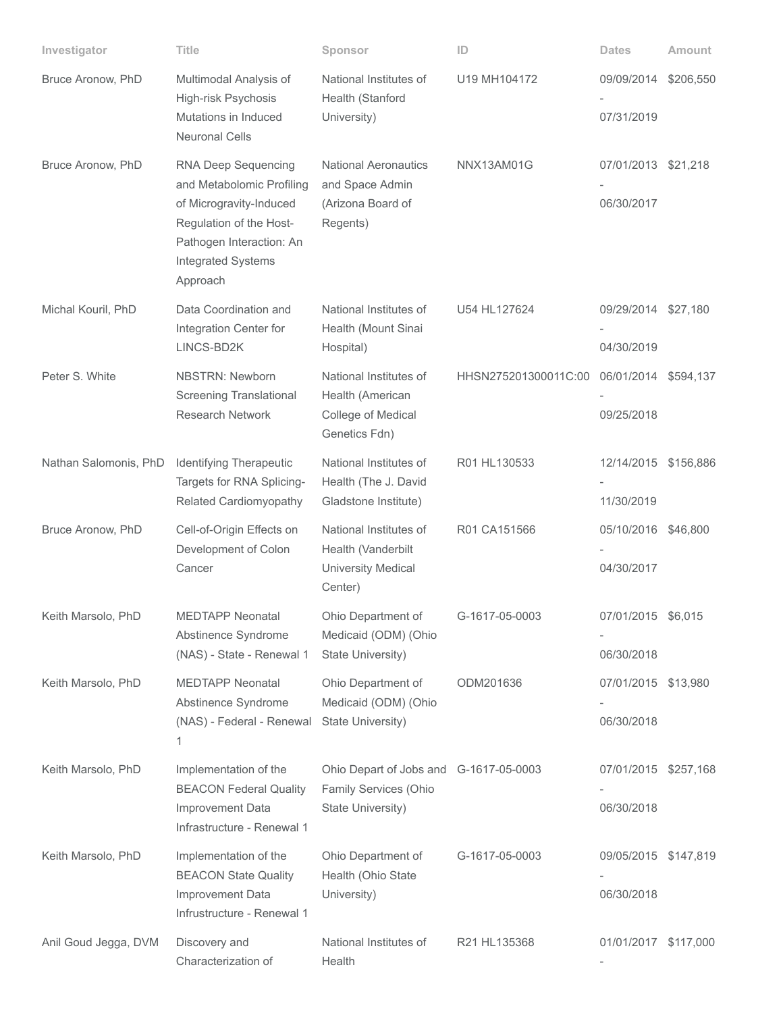| Investigator          | Title                                                                                                                                                                | Sponsor                                                                              | ID                   | <b>Dates</b>                       | <b>Amount</b> |
|-----------------------|----------------------------------------------------------------------------------------------------------------------------------------------------------------------|--------------------------------------------------------------------------------------|----------------------|------------------------------------|---------------|
| Bruce Aronow, PhD     | Multimodal Analysis of<br>High-risk Psychosis<br>Mutations in Induced<br><b>Neuronal Cells</b>                                                                       | National Institutes of<br>Health (Stanford<br>University)                            | U19 MH104172         | 09/09/2014<br>07/31/2019           | \$206,550     |
| Bruce Aronow, PhD     | RNA Deep Sequencing<br>and Metabolomic Profiling<br>of Microgravity-Induced<br>Regulation of the Host-<br>Pathogen Interaction: An<br>Integrated Systems<br>Approach | <b>National Aeronautics</b><br>and Space Admin<br>(Arizona Board of<br>Regents)      | NNX13AM01G           | 07/01/2013 \$21,218<br>06/30/2017  |               |
| Michal Kouril, PhD    | Data Coordination and<br>Integration Center for<br>LINCS-BD2K                                                                                                        | National Institutes of<br>Health (Mount Sinai<br>Hospital)                           | U54 HL127624         | 09/29/2014<br>04/30/2019           | \$27,180      |
| Peter S. White        | <b>NBSTRN: Newborn</b><br><b>Screening Translational</b><br><b>Research Network</b>                                                                                  | National Institutes of<br>Health (American<br>College of Medical<br>Genetics Fdn)    | HHSN275201300011C:00 | 06/01/2014 \$594,137<br>09/25/2018 |               |
| Nathan Salomonis, PhD | Identifying Therapeutic<br>Targets for RNA Splicing-<br>Related Cardiomyopathy                                                                                       | National Institutes of<br>Health (The J. David<br>Gladstone Institute)               | R01 HL130533         | 12/14/2015 \$156,886<br>11/30/2019 |               |
| Bruce Aronow, PhD     | Cell-of-Origin Effects on<br>Development of Colon<br>Cancer                                                                                                          | National Institutes of<br>Health (Vanderbilt<br><b>University Medical</b><br>Center) | R01 CA151566         | 05/10/2016 \$46,800<br>04/30/2017  |               |
| Keith Marsolo, PhD    | <b>MEDTAPP Neonatal</b><br>Abstinence Syndrome<br>(NAS) - State - Renewal 1                                                                                          | Ohio Department of<br>Medicaid (ODM) (Ohio<br>State University)                      | G-1617-05-0003       | 07/01/2015 \$6,015<br>06/30/2018   |               |
| Keith Marsolo, PhD    | <b>MEDTAPP Neonatal</b><br>Abstinence Syndrome<br>(NAS) - Federal - Renewal<br>1                                                                                     | Ohio Department of<br>Medicaid (ODM) (Ohio<br>State University)                      | ODM201636            | 07/01/2015 \$13,980<br>06/30/2018  |               |
| Keith Marsolo, PhD    | Implementation of the<br><b>BEACON Federal Quality</b><br>Improvement Data<br>Infrastructure - Renewal 1                                                             | Ohio Depart of Jobs and G-1617-05-0003<br>Family Services (Ohio<br>State University) |                      | 07/01/2015 \$257,168<br>06/30/2018 |               |
| Keith Marsolo, PhD    | Implementation of the<br><b>BEACON State Quality</b><br>Improvement Data<br>Infrustructure - Renewal 1                                                               | Ohio Department of<br>Health (Ohio State<br>University)                              | G-1617-05-0003       | 09/05/2015 \$147,819<br>06/30/2018 |               |
| Anil Goud Jegga, DVM  | Discovery and<br>Characterization of                                                                                                                                 | National Institutes of<br>Health                                                     | R21 HL135368         | 01/01/2017 \$117,000               |               |